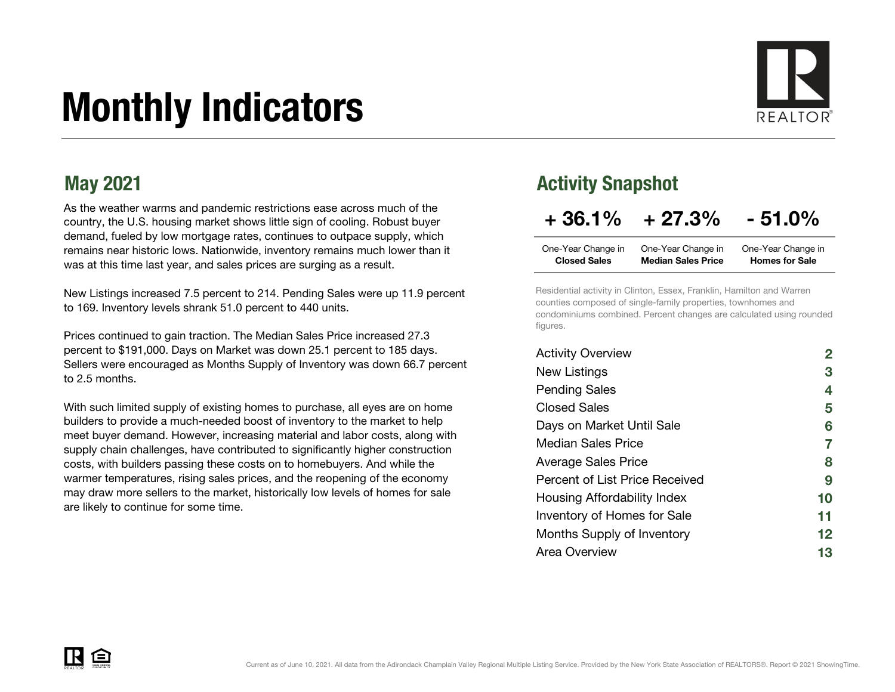# Monthly Indicators



As the weather warms and pandemic restrictions ease across much of the country, the U.S. housing market shows little sign of cooling. Robust buyer demand, fueled by low mortgage rates, continues to outpace supply, which remains near historic lows. Nationwide, inventory remains much lower than it was at this time last year, and sales prices are surging as a result.

New Listings increased 7.5 percent to 214. Pending Sales were up 11.9 percent to 169. Inventory levels shrank 51.0 percent to 440 units.

Prices continued to gain traction. The Median Sales Price increased 27.3 percent to \$191,000. Days on Market was down 25.1 percent to 185 days. Sellers were encouraged as Months Supply of Inventory was down 66.7 percent to 2.5 months.

With such limited supply of existing homes to purchase, all eyes are on home builders to provide a much-needed boost of inventory to the market to help meet buyer demand. However, increasing material and labor costs, along with supply chain challenges, have contributed to significantly higher construction costs, with builders passing these costs on to homebuyers. And while the warmer temperatures, rising sales prices, and the reopening of the economy may draw more sellers to the market, historically low levels of homes for sale are likely to continue for some time.

#### May 2021 **May 2021 Activity Snapshot**

### $+36.1\% + 27.3\% - 51.0\%$

| One-Year Change in  | One-Year Change in        | One-Year Change in    |
|---------------------|---------------------------|-----------------------|
| <b>Closed Sales</b> | <b>Median Sales Price</b> | <b>Homes for Sale</b> |

Residential activity in Clinton, Essex, Franklin, Hamilton and Warren counties composed of single-family properties, townhomes and condominiums combined. Percent changes are calculated using rounded figures.

| <b>Activity Overview</b>       |    |
|--------------------------------|----|
| New Listings                   | 3  |
| <b>Pending Sales</b>           | 4  |
| <b>Closed Sales</b>            | 5  |
| Days on Market Until Sale      | 6  |
| Median Sales Price             | 7  |
| <b>Average Sales Price</b>     | 8  |
| Percent of List Price Received | 9  |
| Housing Affordability Index    | 10 |
| Inventory of Homes for Sale    | 11 |
| Months Supply of Inventory     | 12 |
| Area Overview                  | 13 |

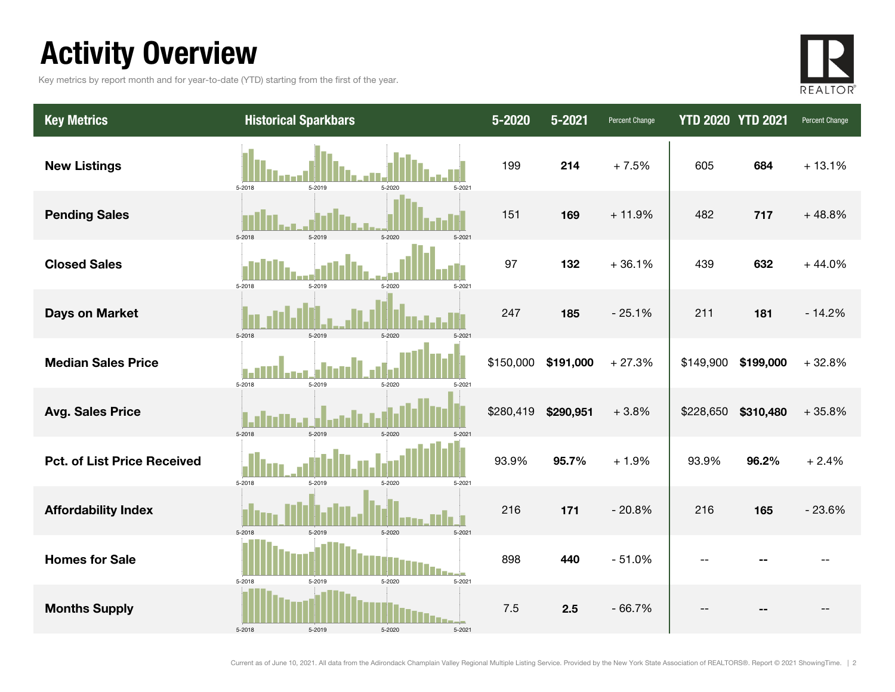### Activity Overview

Key metrics by report month and for year-to-date (YTD) starting from the first of the year.



| <b>Key Metrics</b>                 | <b>Historical Sparkbars</b>              | 5-2020    | 5-2021    | Percent Change | <b>YTD 2020 YTD 2021</b> |           | Percent Change |
|------------------------------------|------------------------------------------|-----------|-----------|----------------|--------------------------|-----------|----------------|
| <b>New Listings</b>                | 5-2018<br>5-2019<br>5-2020<br>$5 - 2021$ | 199       | 214       | $+7.5%$        | 605                      | 684       | $+13.1%$       |
| <b>Pending Sales</b>               | 5-2018<br>5-2019<br>5-2020               | 151       | 169       | $+11.9%$       | 482                      | 717       | $+48.8%$       |
| <b>Closed Sales</b>                | 5-2018<br>5-2019<br>5-2020<br>5-2021     | 97        | 132       | $+36.1%$       | 439                      | 632       | $+44.0%$       |
| <b>Days on Market</b>              | 5-2018<br>5-2019<br>$5 - 2020$           | 247       | 185       | $-25.1%$       | 211                      | 181       | $-14.2%$       |
| <b>Median Sales Price</b>          | 5-2019<br>5-2018<br>5-2020<br>$5 - 2021$ | \$150,000 | \$191,000 | $+27.3%$       | \$149,900                | \$199,000 | $+32.8%$       |
| <b>Avg. Sales Price</b>            | 5-2018<br>5-2019<br>5-2020<br>$5 - 202$  | \$280,419 | \$290,951 | $+3.8%$        | \$228,650                | \$310,480 | $+35.8%$       |
| <b>Pct. of List Price Received</b> | 5-2018<br>5-2019<br>5-2020<br>$5 - 2021$ | 93.9%     | 95.7%     | $+1.9%$        | 93.9%                    | 96.2%     | $+2.4%$        |
| <b>Affordability Index</b>         | 5-2018<br>5-2019<br>5-2020<br>5-2021     | 216       | 171       | $-20.8%$       | 216                      | 165       | $-23.6%$       |
| <b>Homes for Sale</b>              | 5-2020<br>5-2021<br>5-2018<br>5-2019     | 898       | 440       | $-51.0%$       | $-$                      |           |                |
| <b>Months Supply</b>               | 5-2018<br>5-2019<br>5-2020<br>5-2021     | 7.5       | 2.5       | $-66.7%$       |                          |           |                |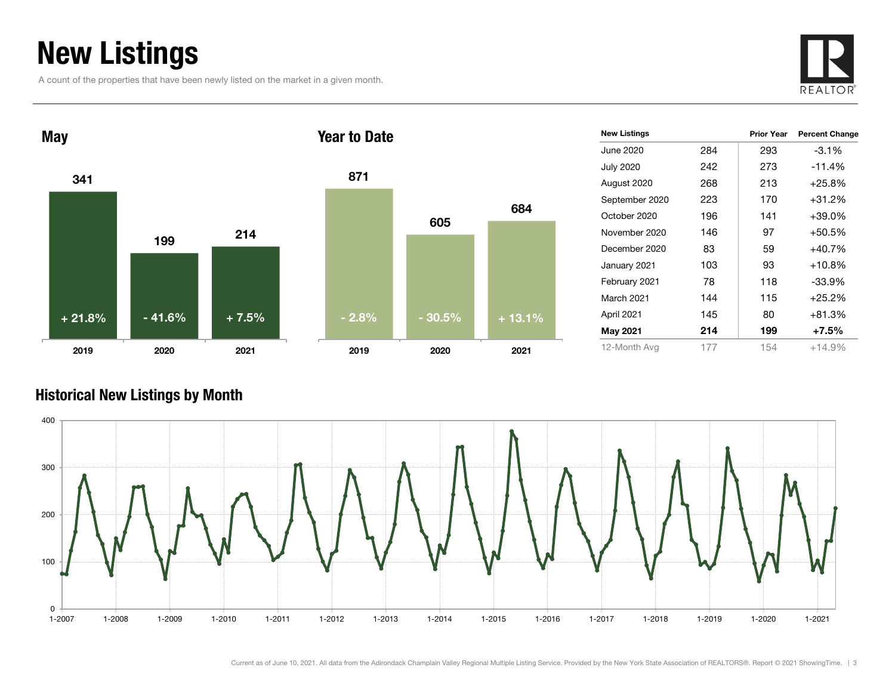### New Listings

A count of the properties that have been newly listed on the market in a given month.





| <b>New Listings</b> |     | <b>Prior Year</b> | <b>Percent Change</b> |
|---------------------|-----|-------------------|-----------------------|
| June 2020           | 284 | 293               | $-3.1\%$              |
| <b>July 2020</b>    | 242 | 273               | $-11.4%$              |
| August 2020         | 268 | 213               | $+25.8%$              |
| September 2020      | 223 | 170               | $+31.2%$              |
| October 2020        | 196 | 141               | $+39.0\%$             |
| November 2020       | 146 | 97                | $+50.5%$              |
| December 2020       | 83  | 59                | $+40.7%$              |
| January 2021        | 103 | 93                | $+10.8%$              |
| February 2021       | 78  | 118               | $-33.9%$              |
| March 2021          | 144 | 115               | $+25.2%$              |
| April 2021          | 145 | 80                | $+81.3%$              |
| May 2021            | 214 | 199               | $+7.5\%$              |
| 12-Month Avg        | 177 | 154               | $+14.9%$              |

#### Historical New Listings by Month



684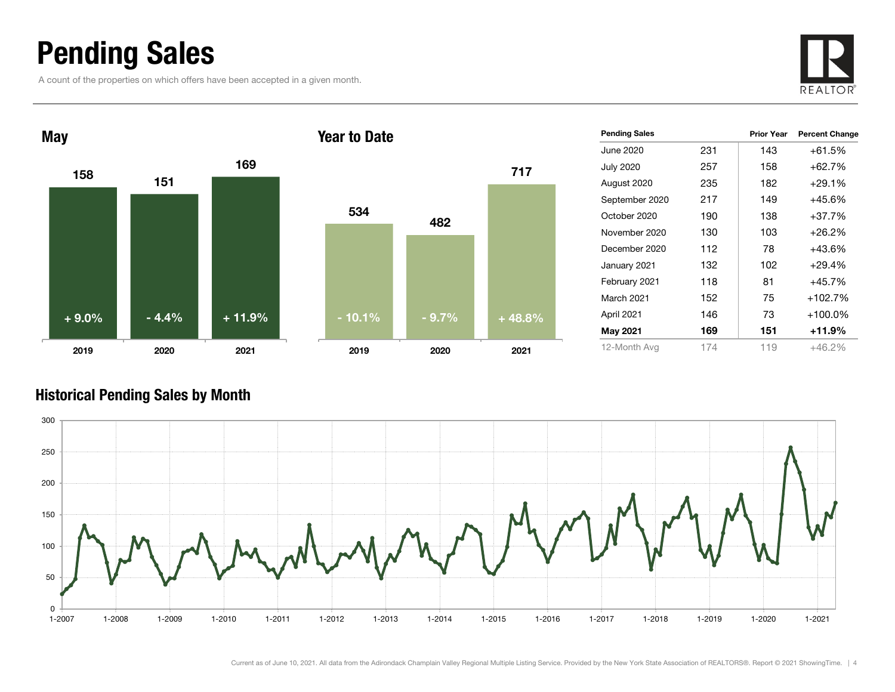### Pending Sales

A count of the properties on which offers have been accepted in a given month.





| <b>Pending Sales</b> |     | <b>Prior Year</b> | <b>Percent Change</b> |
|----------------------|-----|-------------------|-----------------------|
| June 2020            | 231 | 143               | $+61.5%$              |
| <b>July 2020</b>     | 257 | 158               | $+62.7%$              |
| August 2020          | 235 | 182               | $+29.1%$              |
| September 2020       | 217 | 149               | $+45.6%$              |
| October 2020         | 190 | 138               | $+37.7%$              |
| November 2020        | 130 | 103               | $+26.2%$              |
| December 2020        | 112 | 78                | $+43.6%$              |
| January 2021         | 132 | 102               | $+29.4%$              |
| February 2021        | 118 | 81                | $+45.7%$              |
| <b>March 2021</b>    | 152 | 75                | $+102.7%$             |
| April 2021           | 146 | 73                | $+100.0\%$            |
| May 2021             | 169 | 151               | $+11.9%$              |
| 12-Month Avg         | 174 | 119               | +46.2%                |

#### Historical Pending Sales by Month



717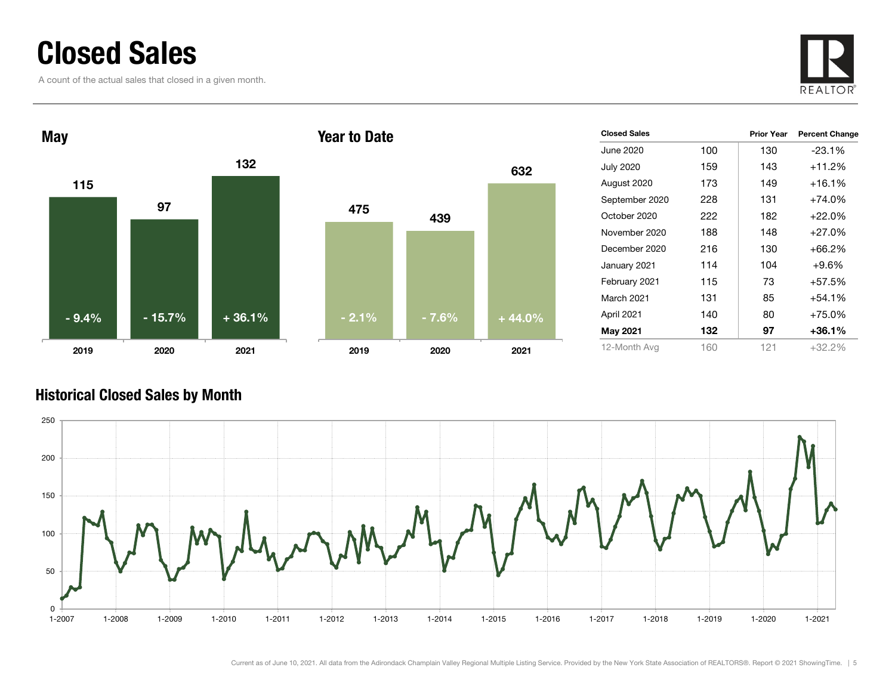### Closed Sales

A count of the actual sales that closed in a given month.





| <b>Closed Sales</b> |     | <b>Prior Year</b> | <b>Percent Change</b> |
|---------------------|-----|-------------------|-----------------------|
| June 2020           | 100 | 130               | $-23.1%$              |
| <b>July 2020</b>    | 159 | 143               | $+11.2%$              |
| August 2020         | 173 | 149               | $+16.1%$              |
| September 2020      | 228 | 131               | $+74.0%$              |
| October 2020        | 222 | 182               | $+22.0%$              |
| November 2020       | 188 | 148               | $+27.0%$              |
| December 2020       | 216 | 130               | $+66.2%$              |
| January 2021        | 114 | 104               | $+9.6%$               |
| February 2021       | 115 | 73                | $+57.5%$              |
| March 2021          | 131 | 85                | $+54.1%$              |
| April 2021          | 140 | 80                | $+75.0%$              |
| <b>May 2021</b>     | 132 | 97                | $+36.1%$              |
| 12-Month Avg        | 160 | 121               | +32.2%                |

#### Historical Closed Sales by Month

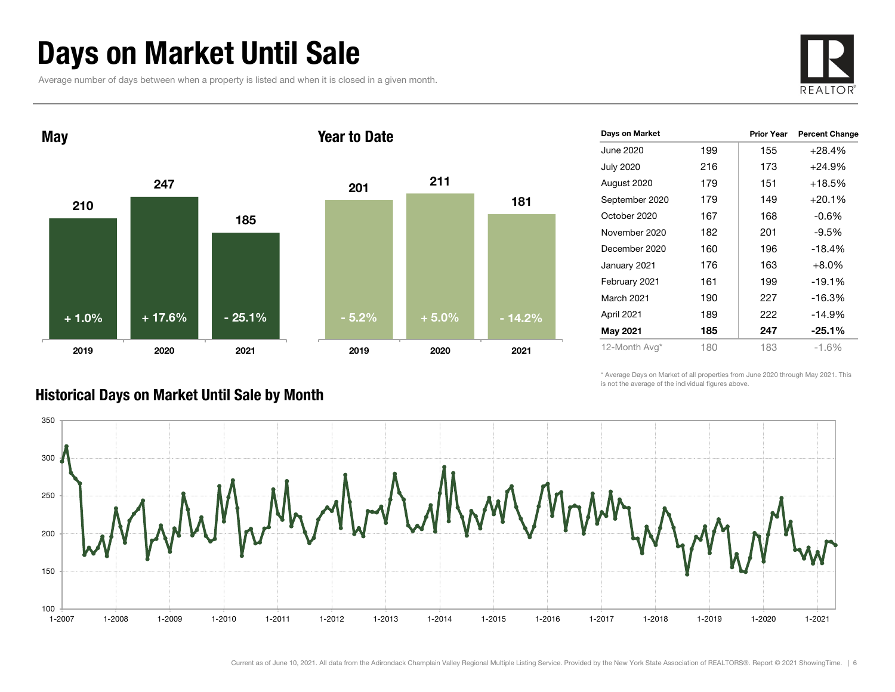### Days on Market Until Sale

Average number of days between when a property is listed and when it is closed in a given month.





| Days on Market   |     | <b>Prior Year</b> | <b>Percent Change</b> |
|------------------|-----|-------------------|-----------------------|
| June 2020        | 199 | 155               | $+28.4%$              |
| <b>July 2020</b> | 216 | 173               | +24.9%                |
| August 2020      | 179 | 151               | $+18.5%$              |
| September 2020   | 179 | 149               | $+20.1%$              |
| October 2020     | 167 | 168               | -0.6%                 |
| November 2020    | 182 | 201               | $-9.5%$               |
| December 2020    | 160 | 196               | $-18.4%$              |
| January 2021     | 176 | 163               | $+8.0%$               |
| February 2021    | 161 | 199               | $-19.1%$              |
| March 2021       | 190 | 227               | $-16.3%$              |
| April 2021       | 189 | 222               | $-14.9%$              |
| <b>May 2021</b>  | 185 | 247               | $-25.1%$              |
| 12-Month Avg*    | 180 | 183               | $-1.6%$               |

\* Average Days on Market of all properties from June 2020 through May 2021. This is not the average of the individual figures above.



#### Historical Days on Market Until Sale by Month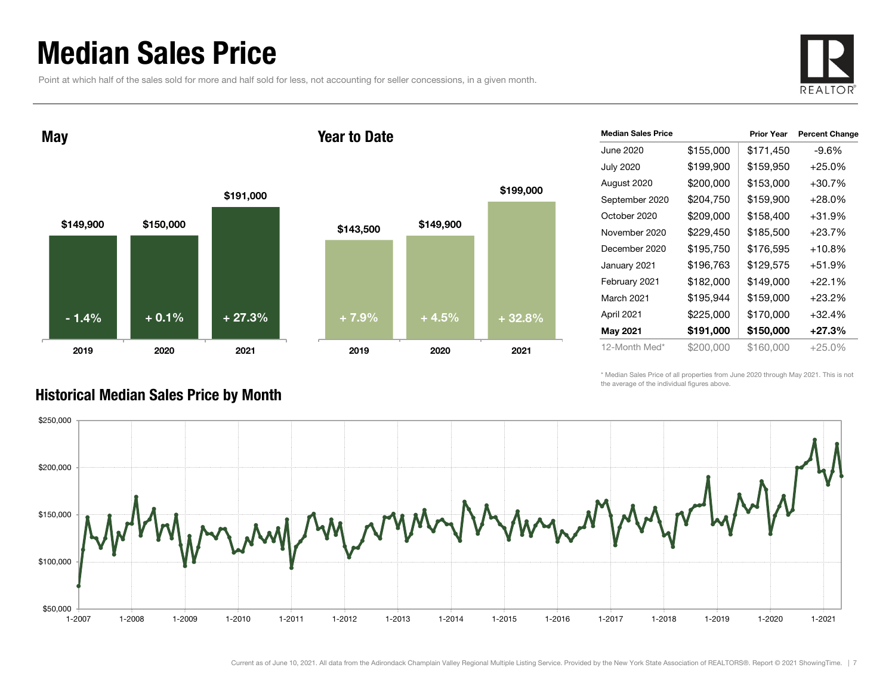### Median Sales Price

Point at which half of the sales sold for more and half sold for less, not accounting for seller concessions, in a given month.



May

#### Year to Date



| <b>Median Sales Price</b> |           | <b>Prior Year</b> | <b>Percent Change</b> |
|---------------------------|-----------|-------------------|-----------------------|
| June 2020                 | \$155,000 | \$171,450         | $-9.6%$               |
| <b>July 2020</b>          | \$199,900 | \$159,950         | $+25.0%$              |
| August 2020               | \$200,000 | \$153,000         | $+30.7%$              |
| September 2020            | \$204,750 | \$159,900         | $+28.0%$              |
| October 2020              | \$209,000 | \$158,400         | $+31.9%$              |
| November 2020             | \$229,450 | \$185,500         | $+23.7%$              |
| December 2020             | \$195,750 | \$176,595         | $+10.8%$              |
| January 2021              | \$196,763 | \$129,575         | $+51.9%$              |
| February 2021             | \$182,000 | \$149,000         | $+22.1%$              |
| March 2021                | \$195,944 | \$159,000         | $+23.2%$              |
| April 2021                | \$225,000 | \$170,000         | $+32.4%$              |
| <b>May 2021</b>           | \$191,000 | \$150,000         | $+27.3%$              |
| 12-Month Med*             | \$200.000 | \$160,000         | $+25.0\%$             |

\* Median Sales Price of all properties from June 2020 through May 2021. This is not the average of the individual figures above.



#### Historical Median Sales Price by Month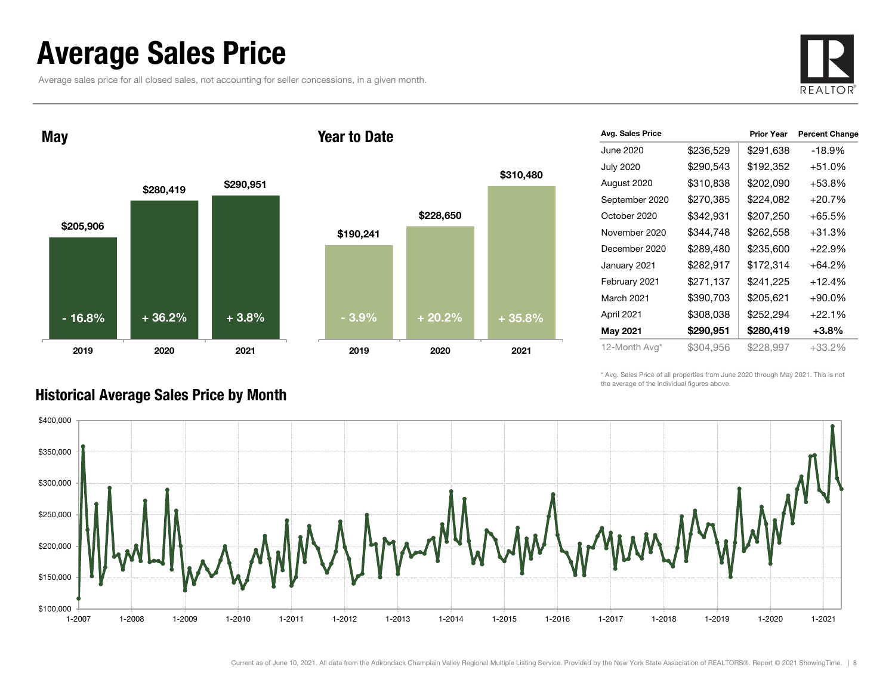### Average Sales Price

Average sales price for all closed sales, not accounting for seller concessions, in a given month.



May

#### Year to Date



| Avg. Sales Price |           | <b>Prior Year</b> | <b>Percent Change</b> |
|------------------|-----------|-------------------|-----------------------|
| June 2020        | \$236,529 | \$291,638         | $-18.9%$              |
| <b>July 2020</b> | \$290,543 | \$192,352         | $+51.0%$              |
| August 2020      | \$310,838 | \$202,090         | $+53.8%$              |
| September 2020   | \$270,385 | \$224,082         | $+20.7%$              |
| October 2020     | \$342,931 | \$207,250         | $+65.5%$              |
| November 2020    | \$344,748 | \$262,558         | $+31.3%$              |
| December 2020    | \$289,480 | \$235,600         | $+22.9%$              |
| January 2021     | \$282,917 | \$172,314         | $+64.2%$              |
| February 2021    | \$271,137 | \$241,225         | $+12.4%$              |
| March 2021       | \$390,703 | \$205,621         | $+90.0\%$             |
| April 2021       | \$308,038 | \$252,294         | $+22.1%$              |
| May 2021         | \$290,951 | \$280,419         | $+3.8\%$              |
| 12-Month Avg*    | \$304,956 | \$228,997         | +33.2%                |

\* Avg. Sales Price of all properties from June 2020 through May 2021. This is not the average of the individual figures above.



#### Historical Average Sales Price by Month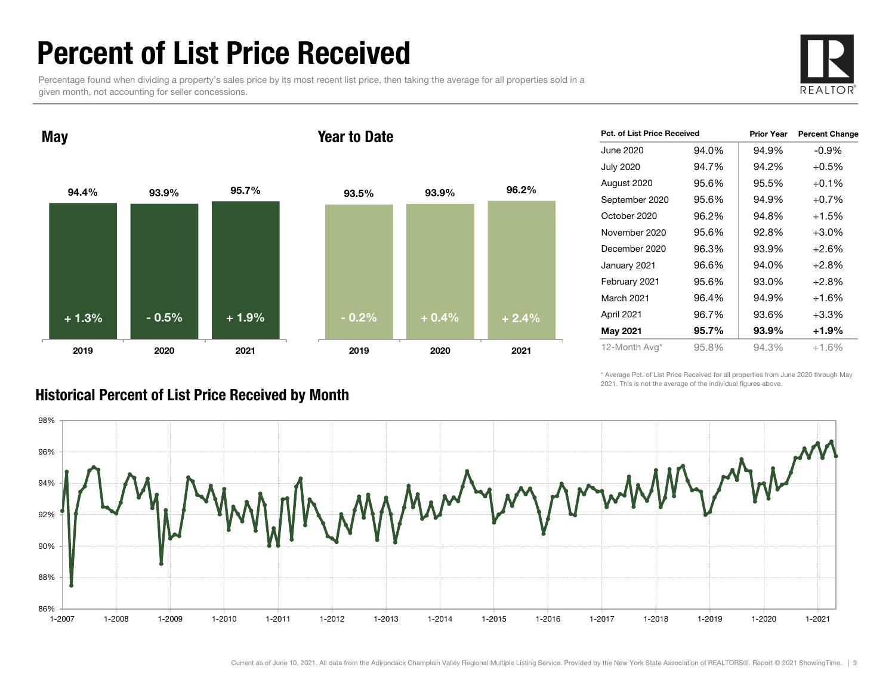### Percent of List Price Received

Percentage found when dividing a property's sales price by its most recent list price, then taking the average for all properties sold in a given month, not accounting for seller concessions.



94.4% 93.9% 95.7% 2019 2020 2021 May 93.5% 93.9% 96.2% 2019 2020 2021 Year to Date+ 1.3% $\%$  - 0.5% + 1.9% - 0.2% + 0.4% + 2.4%

| <b>Pct. of List Price Received</b> |       | <b>Prior Year</b> | <b>Percent Change</b> |
|------------------------------------|-------|-------------------|-----------------------|
| June 2020                          | 94.0% | 94.9%             | $-0.9\%$              |
| <b>July 2020</b>                   | 94.7% | 94.2%             | $+0.5%$               |
| August 2020                        | 95.6% | 95.5%             | $+0.1\%$              |
| September 2020                     | 95.6% | 94.9%             | $+0.7%$               |
| October 2020                       | 96.2% | 94.8%             | $+1.5%$               |
| November 2020                      | 95.6% | 92.8%             | $+3.0%$               |
| December 2020                      | 96.3% | 93.9%             | $+2.6%$               |
| January 2021                       | 96.6% | 94.0%             | $+2.8%$               |
| February 2021                      | 95.6% | 93.0%             | $+2.8%$               |
| <b>March 2021</b>                  | 96.4% | 94.9%             | $+1.6%$               |
| April 2021                         | 96.7% | 93.6%             | $+3.3%$               |
| <b>May 2021</b>                    | 95.7% | 93.9%             | +1.9%                 |
| 12-Month Avg*                      | 95.8% | 94.3%             | $+1.6%$               |

\* Average Pct. of List Price Received for all properties from June 2020 through May 2021. This is not the average of the individual figures above.



#### Historical Percent of List Price Received by Month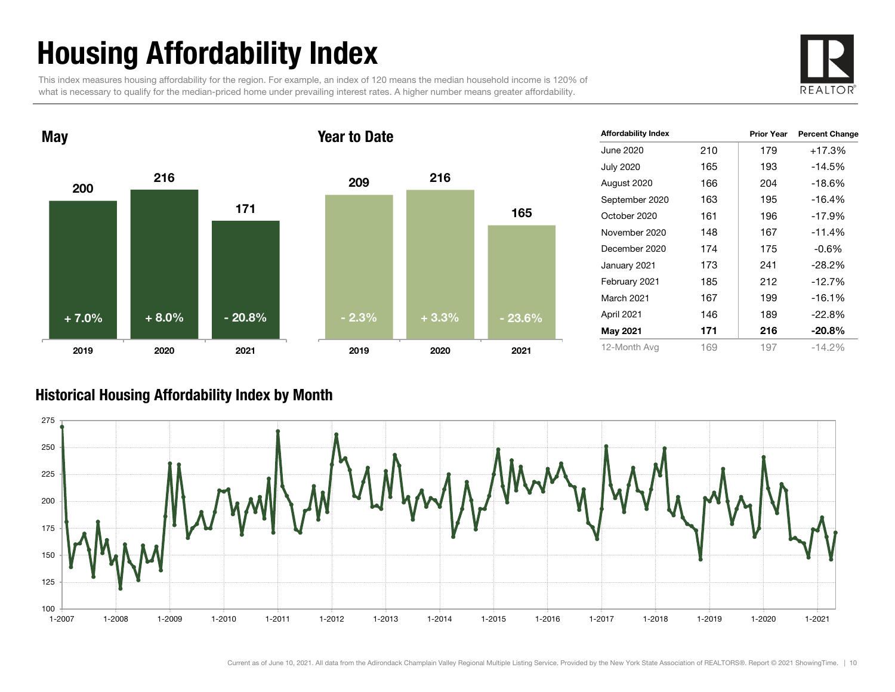## Housing Affordability Index

This index measures housing affordability for the region. For example, an index of 120 means the median household income is 120% of what is necessary to qualify for the median-priced home under prevailing interest rates. A higher number means greater affordability.





| <b>Affordability Index</b> |     | <b>Prior Year</b> | <b>Percent Change</b> |
|----------------------------|-----|-------------------|-----------------------|
| June 2020                  | 210 | 179               | +17.3%                |
| <b>July 2020</b>           | 165 | 193               | $-14.5%$              |
| August 2020                | 166 | 204               | $-18.6%$              |
| September 2020             | 163 | 195               | $-16.4%$              |
| October 2020               | 161 | 196               | $-17.9%$              |
| November 2020              | 148 | 167               | $-11.4%$              |
| December 2020              | 174 | 175               | $-0.6%$               |
| January 2021               | 173 | 241               | $-28.2%$              |
| February 2021              | 185 | 212               | $-12.7%$              |
| March 2021                 | 167 | 199               | $-16.1%$              |
| April 2021                 | 146 | 189               | $-22.8%$              |
| May 2021                   | 171 | 216               | $-20.8%$              |
| 12-Month Avg               | 169 | 197               | $-14.2%$              |

#### Historical Housing Affordability Index by Mont h

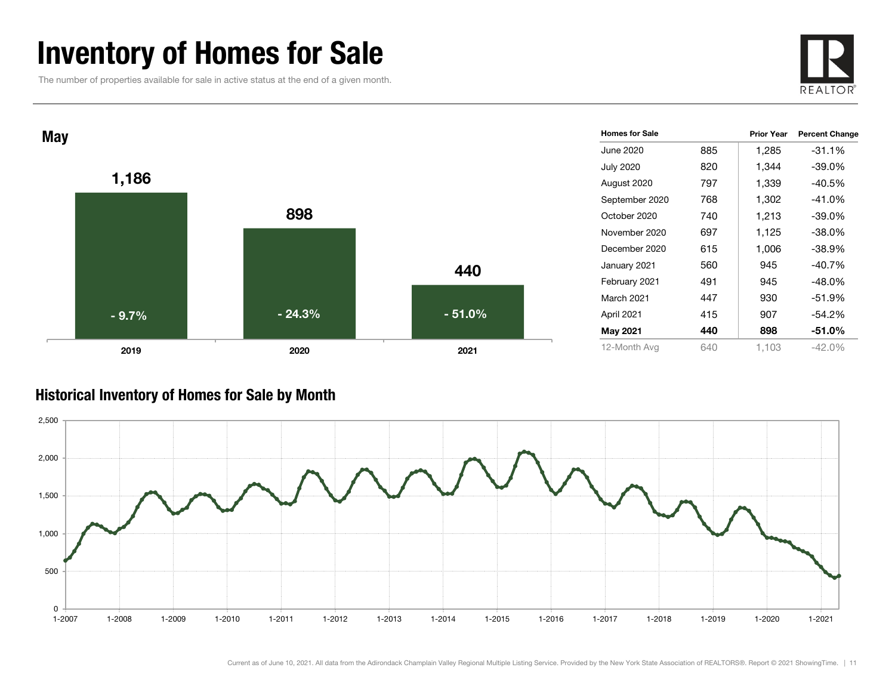### Inventory of Homes for Sale

The number of properties available for sale in active status at the end of a given month.





#### Historical Inventory of Homes for Sale by Month

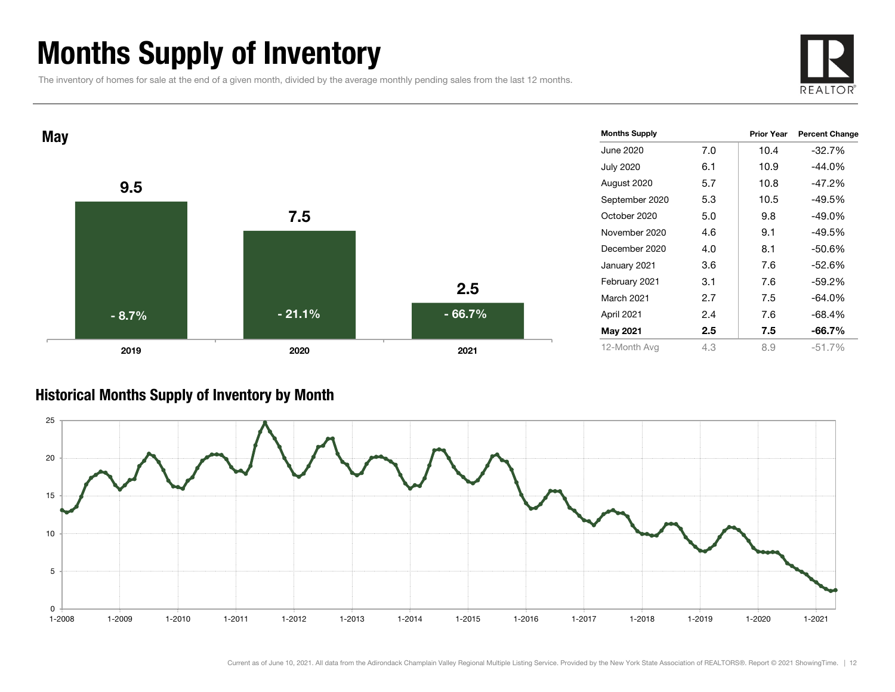### Months Supply of Inventory

The inventory of homes for sale at the end of a given month, divided by the average monthly pending sales from the last 12 months.





#### Historical Months Supply of Inventory by Month